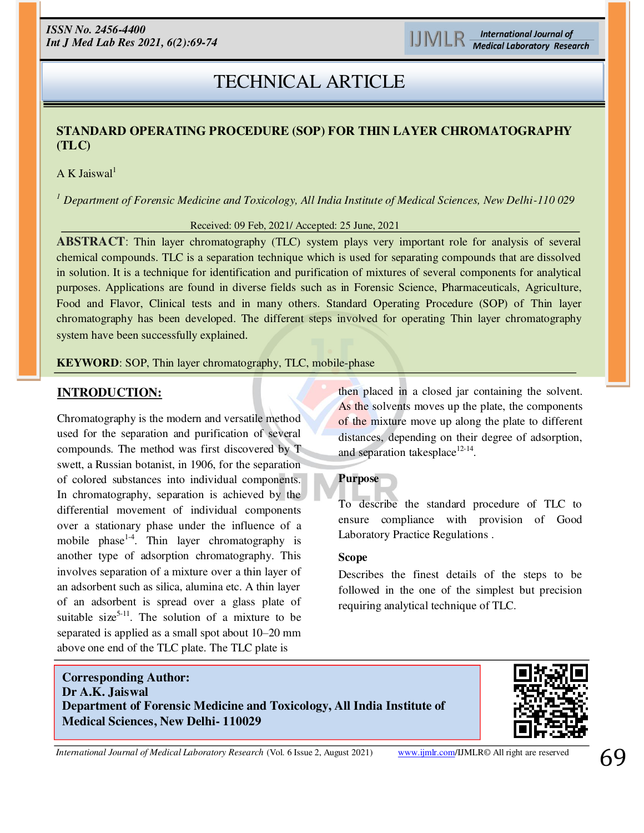# **RESEARCH ARTICLE**  TECHNICAL ARTICLE

# **STANDARD OPERATING PROCEDURE (SOP) FOR THIN LAYER CHROMATOGRAPHY (TLC)**

A K Jaiswal<sup>1</sup>

*<sup>1</sup> Department of Forensic Medicine and Toxicology, All India Institute of Medical Sciences, New Delhi-110 029*

Received: 09 Feb, 2021/ Accepted: 25 June, 2021

**ABSTRACT**: Thin layer chromatography (TLC) system plays very important role for analysis of several chemical compounds. TLC is a separation technique which is used for separating compounds that are dissolved in solution. It is a technique for identification and purification of mixtures of several components for analytical purposes. Applications are found in diverse fields such as in Forensic Science, Pharmaceuticals, Agriculture, Food and Flavor, Clinical tests and in many others. Standard Operating Procedure (SOP) of Thin layer chromatography has been developed. The different steps involved for operating Thin layer chromatography system have been successfully explained*.* 

**KEYWORD**: SOP, Thin layer chromatography, TLC, mobile-phase

# **INTRODUCTION:**

Chromatography is the modern and versatile method used for the separation and purification of several compounds. The method was first discovered by T swett, a Russian botanist, in 1906, for the separation of colored substances into individual components. In chromatography, separation is achieved by the differential movement of individual components over a stationary phase under the influence of a mobile phase<sup>1-4</sup>. Thin layer chromatography is another type of adsorption chromatography. This involves separation of a mixture over a thin layer of an adsorbent such as silica, alumina etc. A thin layer of an adsorbent is spread over a glass plate of suitable size<sup>5-11</sup>. The solution of a mixture to be separated is applied as a small spot about 10–20 mm above one end of the TLC plate. The TLC plate is

then placed in a closed jar containing the solvent. As the solvents moves up the plate, the components of the mixture move up along the plate to different distances, depending on their degree of adsorption, and separation takesplace $12-14$ .

# **Purpose**

To describe the standard procedure of TLC to ensure compliance with provision of Good Laboratory Practice Regulations .

#### **Scope**

Describes the finest details of the steps to be followed in the one of the simplest but precision requiring analytical technique of TLC.

# **Department of Forensic Medicine and Toxicology, All India Institute of Corresponding Author: Dr A.K. Jaiswal Medical Sciences, New Delhi- 110029**



ׇ֚֚֚֚֚֚֚֡ *International Journal of Medical Laboratory Research* (Vol. 6 Issue 2, August 2021) [www.ijmlr.com/](https://www.ijmlr.com/)IJMLR© All right are reserved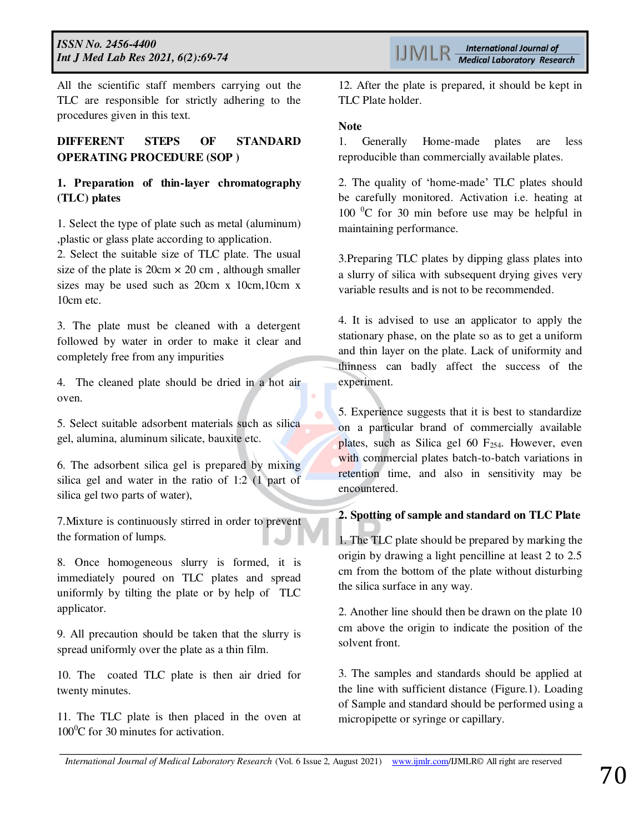All the scientific staff members carrying out the TLC are responsible for strictly adhering to the procedures given in this text.

# **DIFFERENT STEPS OF STANDARD OPERATING PROCEDURE (SOP )**

### **1. Preparation of thin-layer chromatography (TLC) plates**

1. Select the type of plate such as metal (aluminum) ,plastic or glass plate according to application.

2. Select the suitable size of TLC plate. The usual size of the plate is  $20 \text{ cm} \times 20 \text{ cm}$ , although smaller sizes may be used such as 20cm x 10cm,10cm x 10cm etc.

3. The plate must be cleaned with a detergent followed by water in order to make it clear and completely free from any impurities

4. The cleaned plate should be dried in a hot air oven.

5. Select suitable adsorbent materials such as silica gel, alumina, aluminum silicate, bauxite etc.

6. The adsorbent silica gel is prepared by mixing silica gel and water in the ratio of 1:2 (1 part of silica gel two parts of water),

7.Mixture is continuously stirred in order to prevent the formation of lumps.

8. Once homogeneous slurry is formed, it is immediately poured on TLC plates and spread uniformly by tilting the plate or by help of TLC applicator.

9. All precaution should be taken that the slurry is spread uniformly over the plate as a thin film.

10. The coated TLC plate is then air dried for twenty minutes.

11. The TLC plate is then placed in the oven at  $100^0C$  for 30 minutes for activation.

12. After the plate is prepared, it should be kept in TLC Plate holder.

#### **Note**

1. Generally Home-made plates are less reproducible than commercially available plates.

2. The quality of 'home-made' TLC plates should be carefully monitored. Activation i.e. heating at 100  $\mathrm{^0C}$  for 30 min before use may be helpful in maintaining performance.

3.Preparing TLC plates by dipping glass plates into a slurry of silica with subsequent drying gives very variable results and is not to be recommended.

4. It is advised to use an applicator to apply the stationary phase, on the plate so as to get a uniform and thin layer on the plate. Lack of uniformity and thinness can badly affect the success of the experiment.

5. Experience suggests that it is best to standardize on a particular brand of commercially available plates, such as Silica gel 60  $F_{254}$ . However, even with commercial plates batch-to-batch variations in retention time, and also in sensitivity may be encountered.

#### **2. Spotting of sample and standard on TLC Plate**

1. The TLC plate should be prepared by marking the origin by drawing a light pencilline at least 2 to 2.5 cm from the bottom of the plate without disturbing the silica surface in any way.

2. Another line should then be drawn on the plate 10 cm above the origin to indicate the position of the solvent front.

3. The samples and standards should be applied at the line with sufficient distance (Figure.1). Loading of Sample and standard should be performed using a micropipette or syringe or capillary.

*International Journal of Medical Laboratory Research* (Vol. 6 Issue 2, August 2021) [www.ijmlr.com/](https://www.ijmlr.com/)IJMLR© All right are reserved **70**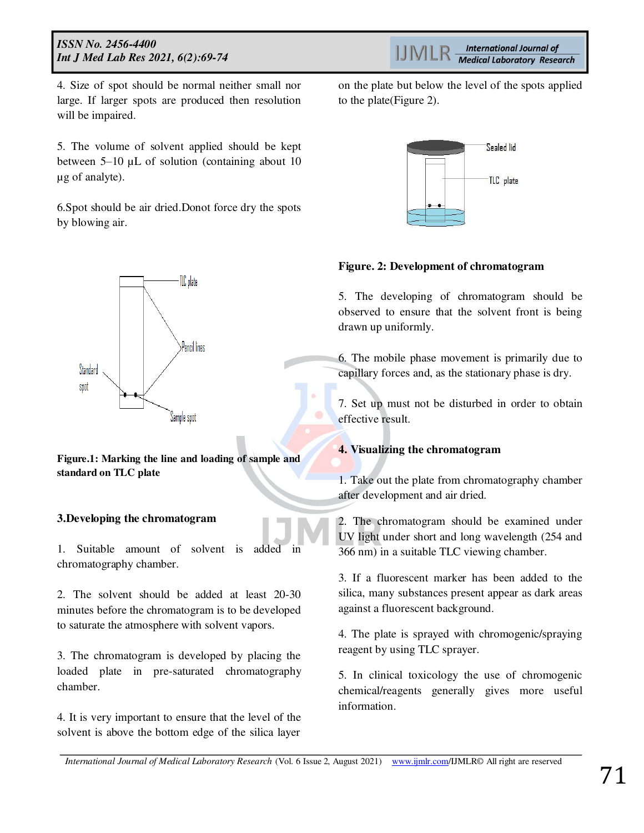4. Size of spot should be normal neither small nor large. If larger spots are produced then resolution will be impaired.

5. The volume of solvent applied should be kept between 5–10 µL of solution (containing about 10 µg of analyte).

6.Spot should be air dried.Donot force dry the spots by blowing air.



**Figure.1: Marking the line and loading of sample and standard on TLC plate** 

### **3.Developing the chromatogram**

1. Suitable amount of solvent is added in chromatography chamber.

2. The solvent should be added at least 20-30 minutes before the chromatogram is to be developed to saturate the atmosphere with solvent vapors.

3. The chromatogram is developed by placing the loaded plate in pre-saturated chromatography chamber.

4. It is very important to ensure that the level of the solvent is above the bottom edge of the silica layer

on the plate but below the level of the spots applied to the plate(Figure 2).



#### **Figure. 2: Development of chromatogram**

5. The developing of chromatogram should be observed to ensure that the solvent front is being drawn up uniformly.

6. The mobile phase movement is primarily due to capillary forces and, as the stationary phase is dry.

7. Set up must not be disturbed in order to obtain effective result.

### **4. Visualizing the chromatogram**

1. Take out the plate from chromatography chamber after development and air dried.

2. The chromatogram should be examined under UV light under short and long wavelength (254 and 366 nm) in a suitable TLC viewing chamber.

3. If a fluorescent marker has been added to the silica, many substances present appear as dark areas against a fluorescent background.

4. The plate is sprayed with chromogenic/spraying reagent by using TLC sprayer.

5. In clinical toxicology the use of chromogenic chemical/reagents generally gives more useful information.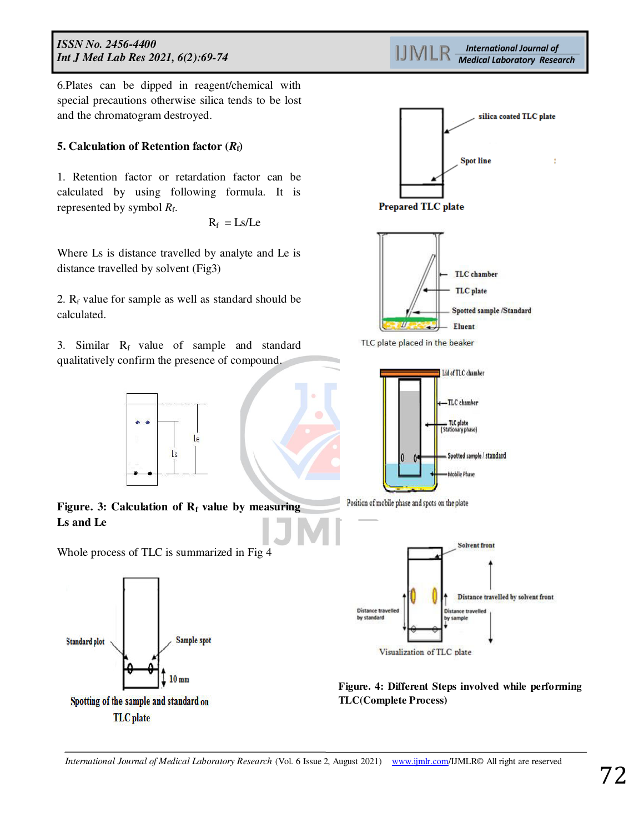6.Plates can be dipped in reagent/chemical with special precautions otherwise silica tends to be lost and the chromatogram destroyed.

#### **5. Calculation of Retention factor**  $(R_f)$

1. Retention factor or retardation factor can be calculated by using following formula. It is represented by symbol  $R_f$ .

 $R_f$  $R_f = Ls/Le$ 

Where Ls is distance travelled by analyte and Le is distance travelled by solvent (Fig3)

2.  $R_f$  value for sample as well as standard should be calculated.

3. Similar  $R_f$  value of sample and standard qualitatively confirm the presence of compound.



**Figure. 3: Calculation of R<sup>f</sup> value by measuring Ls and Le** 

Whole process of TLC is summarized in Fig 4



**International Journal of** IJMLR **Medical Laboratory Research** 



**Figure. 4: Different Steps involved while performing TLC(Complete Process)**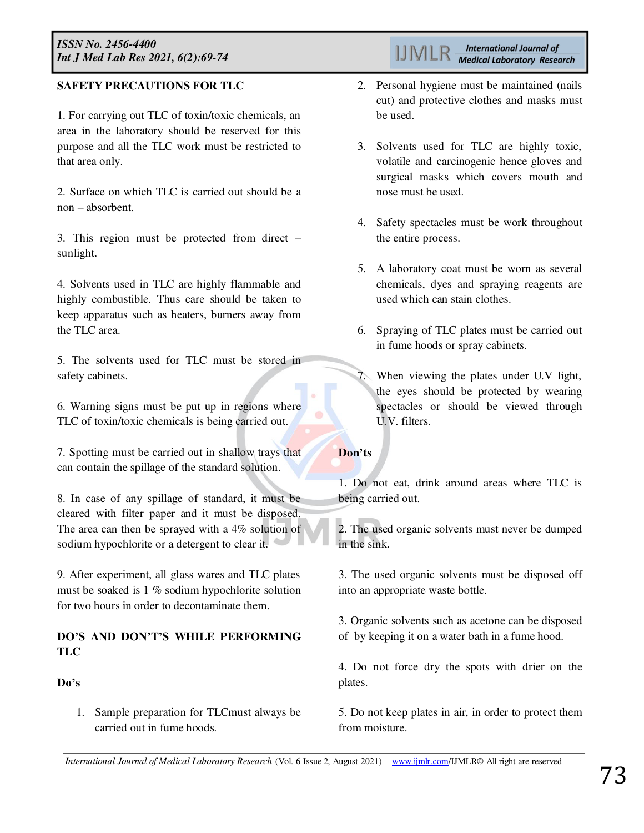# **SAFETY PRECAUTIONS FOR TLC**

1. For carrying out TLC of toxin/toxic chemicals, an area in the laboratory should be reserved for this purpose and all the TLC work must be restricted to that area only.

2. Surface on which TLC is carried out should be a non – absorbent.

3. This region must be protected from direct – sunlight.

4. Solvents used in TLC are highly flammable and highly combustible. Thus care should be taken to keep apparatus such as heaters, burners away from the TLC area.

5. The solvents used for TLC must be stored in safety cabinets.

6. Warning signs must be put up in regions where TLC of toxin/toxic chemicals is being carried out.

7. Spotting must be carried out in shallow trays that can contain the spillage of the standard solution.

8. In case of any spillage of standard, it must be cleared with filter paper and it must be disposed. The area can then be sprayed with a 4% solution of sodium hypochlorite or a detergent to clear it.

9. After experiment, all glass wares and TLC plates must be soaked is 1 % sodium hypochlorite solution for two hours in order to decontaminate them.

# **DO'S AND DON'T'S WHILE PERFORMING TLC**

### **Do's**

1. Sample preparation for TLCmust always be carried out in fume hoods.

- 2. Personal hygiene must be maintained (nails cut) and protective clothes and masks must be used.
- 3. Solvents used for TLC are highly toxic, volatile and carcinogenic hence gloves and surgical masks which covers mouth and nose must be used.
- 4. Safety spectacles must be work throughout the entire process.
- 5. A laboratory coat must be worn as several chemicals, dyes and spraying reagents are used which can stain clothes.
- 6. Spraying of TLC plates must be carried out in fume hoods or spray cabinets.
- 7. When viewing the plates under U.V light, the eyes should be protected by wearing spectacles or should be viewed through U.V. filters.

# **Don'ts**

1. Do not eat, drink around areas where TLC is being carried out.

2. The used organic solvents must never be dumped in the sink.

3. The used organic solvents must be disposed off into an appropriate waste bottle.

3. Organic solvents such as acetone can be disposed of by keeping it on a water bath in a fume hood.

4. Do not force dry the spots with drier on the plates.

5. Do not keep plates in air, in order to protect them from moisture.